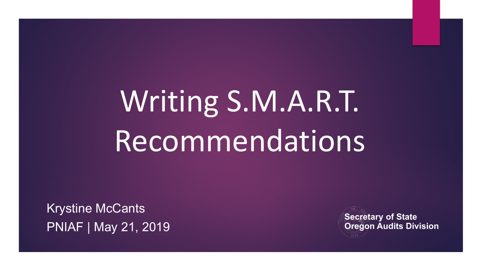# Writing S.M.A.R.T. Recommendations

Krystine McCants PNIAF | May 21, 2019

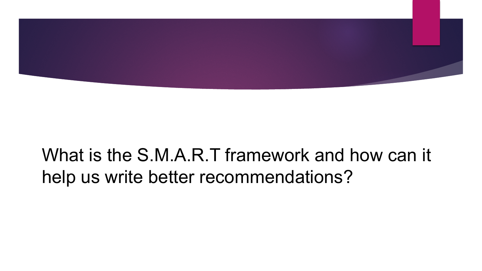

#### What is the S.M.A.R.T framework and how can it help us write better recommendations?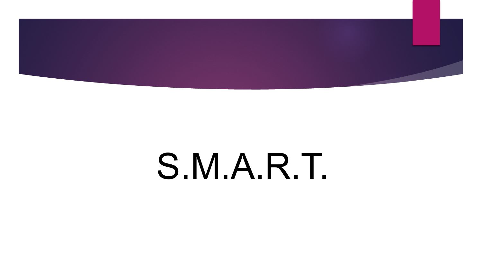

## S.M.A.R.T.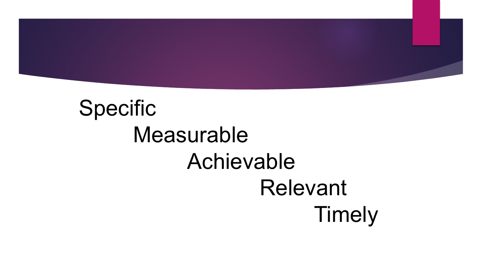

### Specific Measurable Achievable Relevant Timely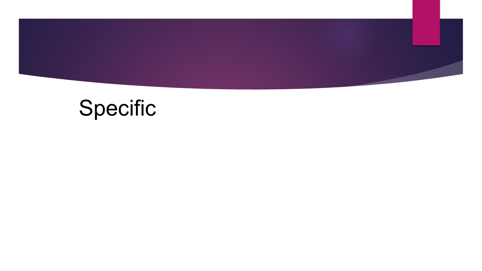

### Specific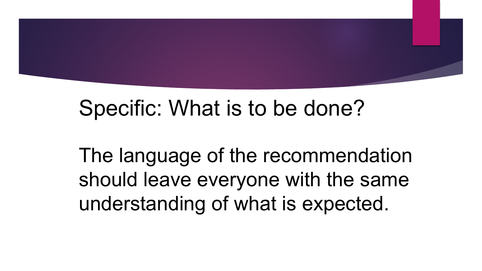

#### Specific: What is to be done?

The language of the recommendation should leave everyone with the same understanding of what is expected.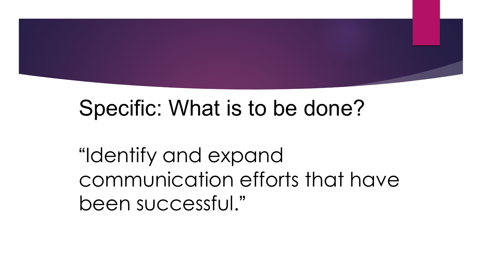

#### Specific: What is to be done?

"Identify and expand communication efforts that have been successful."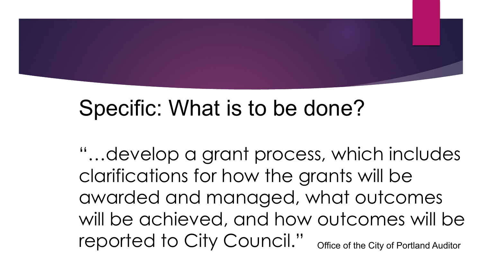

#### Specific: What is to be done?

"…develop a grant process, which includes clarifications for how the grants will be awarded and managed, what outcomes will be achieved, and how outcomes will be reported to City Council." Office of the City of Portland Auditor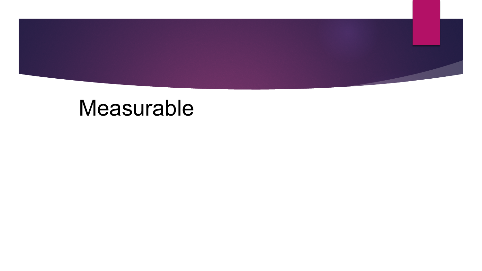

#### Measurable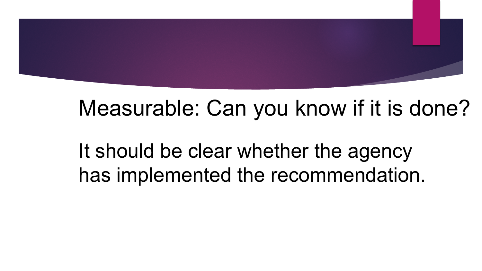#### Measurable: Can you know if it is done?

It should be clear whether the agency has implemented the recommendation.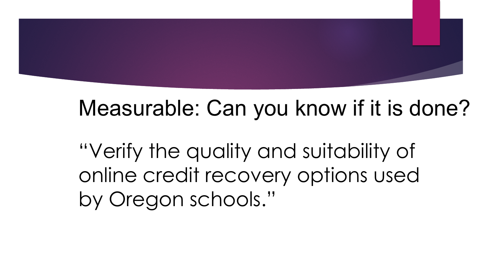#### Measurable: Can you know if it is done?

"Verify the quality and suitability of online credit recovery options used by Oregon schools."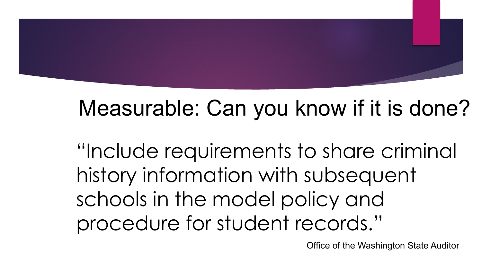#### Measurable: Can you know if it is done?

"Include requirements to share criminal history information with subsequent schools in the model policy and procedure for student records."

Office of the Washington State Auditor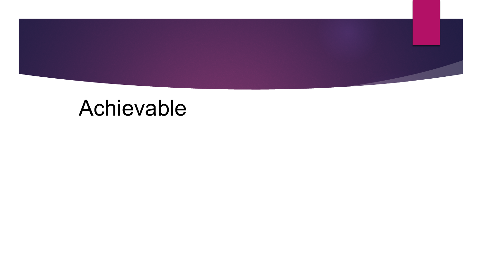

#### Achievable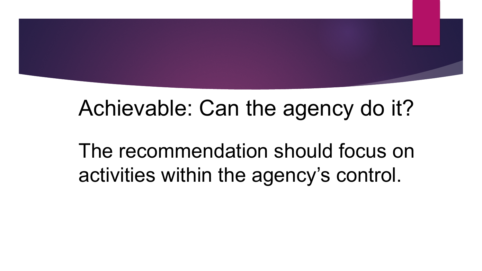#### Achievable: Can the agency do it?

The recommendation should focus on activities within the agency's control.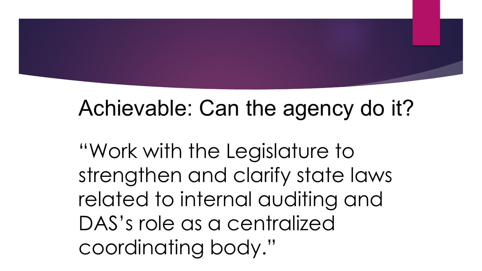#### Achievable: Can the agency do it?

"Work with the Legislature to strengthen and clarify state laws related to internal auditing and DAS's role as a centralized coordinating body."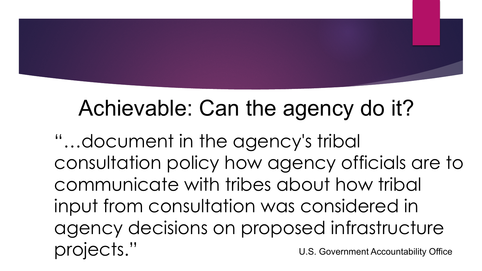### Achievable: Can the agency do it?

"…document in the agency's tribal consultation policy how agency officials are to communicate with tribes about how tribal input from consultation was considered in agency decisions on proposed infrastructure projects." U.S. Government Accountability Office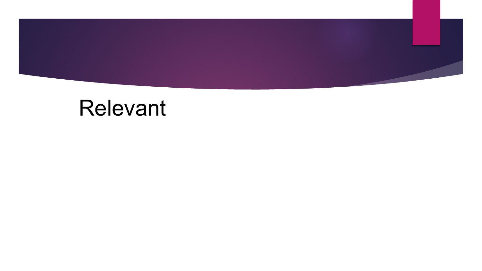

#### Relevant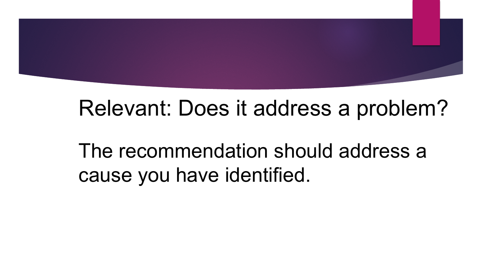#### Relevant: Does it address a problem?

The recommendation should address a cause you have identified.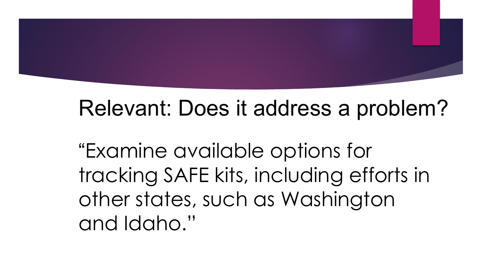#### Relevant: Does it address a problem?

"Examine available options for tracking SAFE kits, including efforts in other states, such as Washington and Idaho."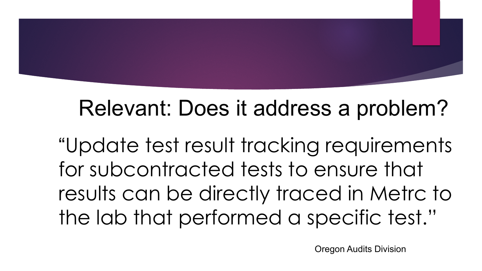#### Relevant: Does it address a problem?

"Update test result tracking requirements for subcontracted tests to ensure that results can be directly traced in Metrc to the lab that performed a specific test."

Oregon Audits Division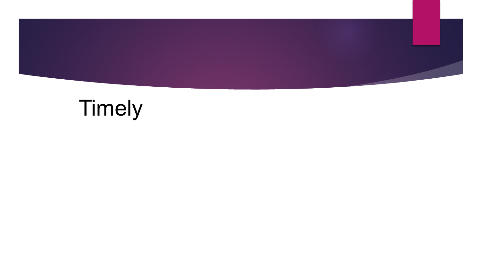

### Timely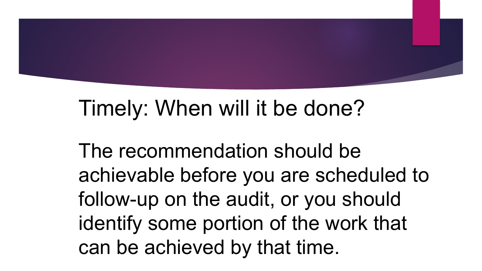

#### Timely: When will it be done?

The recommendation should be achievable before you are scheduled to follow-up on the audit, or you should identify some portion of the work that can be achieved by that time.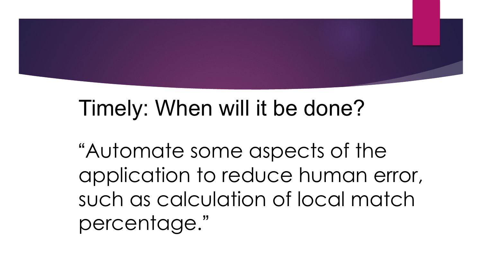

#### Timely: When will it be done?

"Automate some aspects of the application to reduce human error, such as calculation of local match percentage."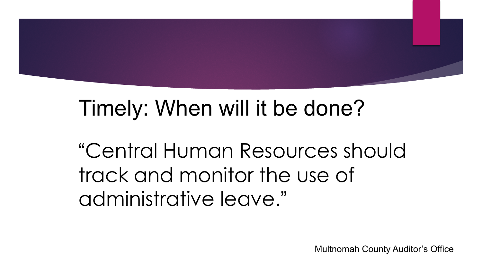

#### Timely: When will it be done?

"Central Human Resources should track and monitor the use of administrative leave."

Multnomah County Auditor's Office